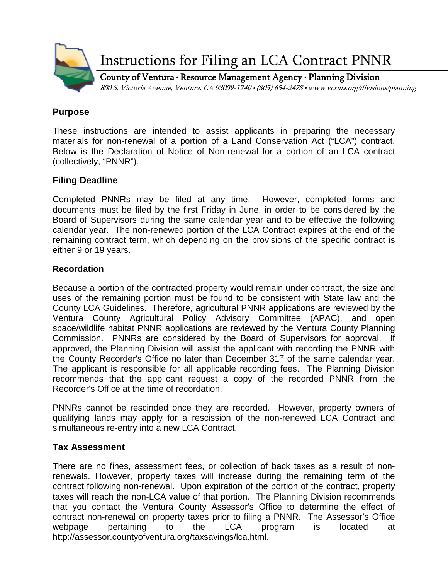

Instructions for Filing an LCA Contract PNNR

County of Ventura • Resource Management Agency • Planning Division 800 S. Victoria Avenue, Ventura, CA 93009-1740 • (805) 654-2478 • www.vcrma.org/divisions/planning

#### **Purpose**

These instructions are intended to assist applicants in preparing the necessary materials for non-renewal of a portion of a Land Conservation Act ("LCA") contract. Below is the Declaration of Notice of Non-renewal for a portion of an LCA contract (collectively, "PNNR").

## **Filing Deadline**

Completed PNNRs may be filed at any time. However, completed forms and documents must be filed by the first Friday in June, in order to be considered by the Board of Supervisors during the same calendar year and to be effective the following calendar year. The non-renewed portion of the LCA Contract expires at the end of the remaining contract term, which depending on the provisions of the specific contract is either 9 or 19 years.

### **Recordation**

Because a portion of the contracted property would remain under contract, the size and uses of the remaining portion must be found to be consistent with State law and the County LCA Guidelines. Therefore, agricultural PNNR applications are reviewed by the Ventura County Agricultural Policy Advisory Committee (APAC), and open space/wildlife habitat PNNR applications are reviewed by the Ventura County Planning Commission. PNNRs are considered by the Board of Supervisors for approval. If approved, the Planning Division will assist the applicant with recording the PNNR with the County Recorder's Office no later than December 31<sup>st</sup> of the same calendar year. The applicant is responsible for all applicable recording fees. The Planning Division recommends that the applicant request a copy of the recorded PNNR from the Recorder's Office at the time of recordation.

PNNRs cannot be rescinded once they are recorded. However, property owners of qualifying lands may apply for a rescission of the non-renewed LCA Contract and simultaneous re-entry into a new LCA Contract.

## **Tax Assessment**

There are no fines, assessment fees, or collection of back taxes as a result of nonrenewals. However, property taxes will increase during the remaining term of the contract following non-renewal. Upon expiration of the portion of the contract, property taxes will reach the non-LCA value of that portion. The Planning Division recommends that you contact the Ventura County Assessor's Office to determine the effect of contract non-renewal on property taxes prior to filing a PNNR. The Assessor's Office webpage pertaining to the LCA program is located at http://assessor.countyofventura.org/taxsavings/lca.html.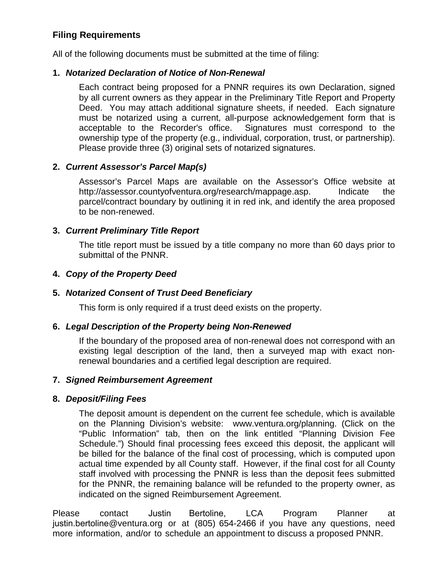# **Filing Requirements**

All of the following documents must be submitted at the time of filing:

## **1.** *Notarized Declaration of Notice of Non-Renewal*

Each contract being proposed for a PNNR requires its own Declaration, signed by all current owners as they appear in the Preliminary Title Report and Property Deed. You may attach additional signature sheets, if needed. Each signature must be notarized using a current, all-purpose acknowledgement form that is acceptable to the Recorder's office. Signatures must correspond to the ownership type of the property (e.g., individual, corporation, trust, or partnership). Please provide three (3) original sets of notarized signatures.

### **2.** *Current Assessor's Parcel Map(s)*

Assessor's Parcel Maps are available on the Assessor's Office website at [http://assessor.countyofventura.org/research/mappage.asp.](http://assessor.countyofventura.org/research/mappage.asp) Indicate the parcel/contract boundary by outlining it in red ink, and identify the area proposed to be non-renewed.

### **3.** *Current Preliminary Title Report*

The title report must be issued by a title company no more than 60 days prior to submittal of the PNNR.

### **4.** *Copy of the Property Deed*

#### **5.** *Notarized Consent of Trust Deed Beneficiary*

This form is only required if a trust deed exists on the property.

#### **6.** *Legal Description of the Property being Non-Renewed*

If the boundary of the proposed area of non-renewal does not correspond with an existing legal description of the land, then a surveyed map with exact nonrenewal boundaries and a certified legal description are required.

#### **7.** *Signed Reimbursement Agreement*

#### **8.** *Deposit/Filing Fees*

The deposit amount is dependent on the current fee schedule, which is available on the Planning Division's website: [www.ventura.org/planning.](http://www.ventura.org/planning) (Click on the "Public Information" tab, then on the link entitled "Planning Division Fee Schedule.") Should final processing fees exceed this deposit, the applicant will be billed for the balance of the final cost of processing, which is computed upon actual time expended by all County staff. However, if the final cost for all County staff involved with processing the PNNR is less than the deposit fees submitted for the PNNR, the remaining balance will be refunded to the property owner, as indicated on the signed Reimbursement Agreement.

Please contact Justin Bertoline, LCA Program Planner at justin.bertoline@ventura.org or at (805) 654-2466 if you have any questions, need more information, and/or to schedule an appointment to discuss a proposed PNNR.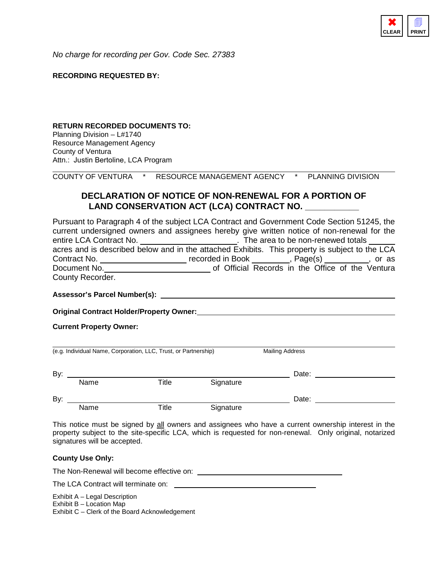

*No charge for recording per Gov. Code Sec. 27383*

#### **RECORDING REQUESTED BY:**

#### **RETURN RECORDED DOCUMENTS TO:**

Planning Division – L#1740 Resource Management Agency County of Ventura Attn.: Justin Bertoline, LCA Program

COUNTY OF VENTURA \* RESOURCE MANAGEMENT AGENCY \* PLANNING DIVISION

#### **DECLARATION OF NOTICE OF NON-RENEWAL FOR A PORTION OF** LAND CONSERVATION ACT (LCA) CONTRACT NO.

Pursuant to Paragraph 4 of the subject LCA Contract and Government Code Section 51245, the current undersigned owners and assignees hereby give written notice of non-renewal for the entire LCA Contract No. \_\_\_\_\_\_\_\_\_\_\_\_\_\_\_\_\_\_\_\_\_\_\_\_\_. The area to be non-renewed totals \_\_ acres and is described below and in the attached Exhibits. This property is subject to the LCA Contract No. \_\_\_\_\_\_\_\_\_\_\_\_\_\_\_\_\_\_\_\_\_\_\_ recorded in Book \_\_\_\_\_\_\_\_, Page(s) \_\_\_\_\_\_\_\_\_, or as Document No. <u>consume come contract</u> of Official Records in the Office of the Ventura County Recorder.

**Assessor's Parcel Number(s):**

**Original Contract Holder/Property Owner:**

**Current Property Owner:**

| (e.g. Individual Name, Corporation, LLC, Trust, or Partnership) |      |       |           | <b>Mailing Address</b> |  |
|-----------------------------------------------------------------|------|-------|-----------|------------------------|--|
| By:                                                             |      |       |           | Date:                  |  |
|                                                                 | Name | Title | Signature |                        |  |
| By:                                                             |      |       |           | Date:                  |  |
|                                                                 | Name | Title | Signature |                        |  |

This notice must be signed by all owners and assignees who have a current ownership interest in the property subject to the site-specific LCA, which is requested for non-renewal. Only original, notarized signatures will be accepted.

#### **County Use Only:**

The Non-Renewal will become effective on:

The LCA Contract will terminate on: \_\_\_\_

Exhibit A – Legal Description

Exhibit B – Location Map

Exhibit C – Clerk of the Board Acknowledgement